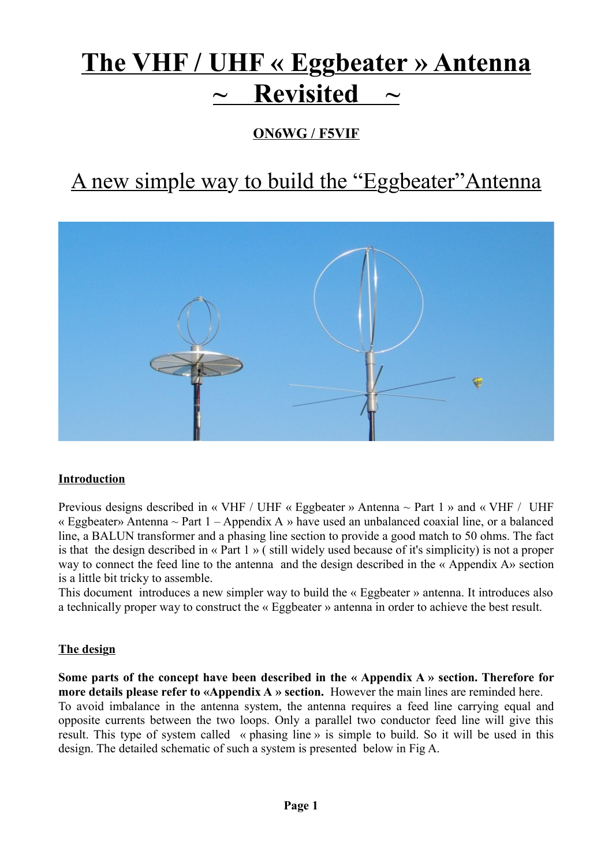# **The VHF / UHF « Eggbeater » Antenna Revisited**

### **ON6WG / F5VIF**

## A new simple way to build the "Eggbeater"Antenna



#### **Introduction**

Previous designs described in « VHF / UHF « Eggbeater » Antenna ~ Part 1 » and « VHF / UHF « Eggbeater» Antenna  $\sim$  Part 1 – Appendix A » have used an unbalanced coaxial line, or a balanced line, a BALUN transformer and a phasing line section to provide a good match to 50 ohms. The fact is that the design described in « Part 1 » ( still widely used because of it's simplicity) is not a proper way to connect the feed line to the antenna and the design described in the « Appendix A» section is a little bit tricky to assemble.

This document introduces a new simpler way to build the « Eggbeater » antenna. It introduces also a technically proper way to construct the « Eggbeater » antenna in order to achieve the best result.

#### **The design**

**Some parts of the concept have been described in the « Appendix A » section. Therefore for more details please refer to «Appendix A » section.** However the main lines are reminded here. To avoid imbalance in the antenna system, the antenna requires a feed line carrying equal and opposite currents between the two loops. Only a parallel two conductor feed line will give this result. This type of system called « phasing line » is simple to build. So it will be used in this design. The detailed schematic of such a system is presented below in Fig A.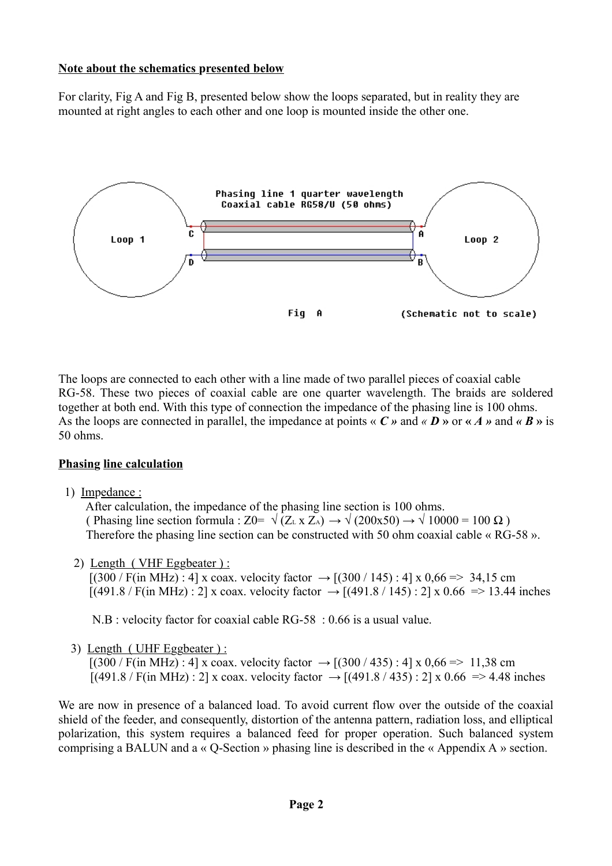#### **Note about the schematics presented below**

For clarity, Fig A and Fig B, presented below show the loops separated, but in reality they are mounted at right angles to each other and one loop is mounted inside the other one.



The loops are connected to each other with a line made of two parallel pieces of coaxial cable RG-58. These two pieces of coaxial cable are one quarter wavelength. The braids are soldered together at both end. With this type of connection the impedance of the phasing line is 100 ohms. As the loops are connected in parallel, the impedance at points  $\ll C \rightharpoonup$  and  $\ll D \rightharpoonup$  or  $\ll A \rightharpoonup$  and  $\ll B \rightharpoonup$  is 50 ohms.

#### **Phasing line calculation**

1) Impedance :

 After calculation, the impedance of the phasing line section is 100 ohms. ( Phasing line section formula : Z0=  $\sqrt{(Z_L \times Z_A)} \rightarrow \sqrt{(200 \times 50)} \rightarrow \sqrt{10000} = 100 \Omega$ ) Therefore the phasing line section can be constructed with 50 ohm coaxial cable « RG-58 ».

2) Length ( VHF Eggbeater ) :

 $[(300 / F(in MHz) : 4] \times \text{coax. velocity factor} \rightarrow [(300 / 145) : 4] \times 0.66 \approx 34.15 \text{ cm}$  $[(491.8 / F(im) \text{ MHz}) : 2]$  x coax. velocity factor  $\rightarrow [(491.8 / 145) : 2]$  x 0.66 => 13.44 inches

N.B : velocity factor for coaxial cable RG-58 : 0.66 is a usual value.

3) Length ( UHF Eggbeater ) :

 $[(300 / F(in MHz) : 4] \times \text{coax}$ . velocity factor  $\rightarrow [(300 / 435) : 4] \times 0.66 \approx 11,38 \text{ cm}$  $[(491.8 / F(in MHz) : 2] \times coax.$  velocity factor  $\rightarrow [(491.8 / 435) : 2] \times 0.66 \Rightarrow 4.48$  inches

We are now in presence of a balanced load. To avoid current flow over the outside of the coaxial shield of the feeder, and consequently, distortion of the antenna pattern, radiation loss, and elliptical polarization, this system requires a balanced feed for proper operation. Such balanced system comprising a BALUN and a « Q-Section » phasing line is described in the « Appendix A » section.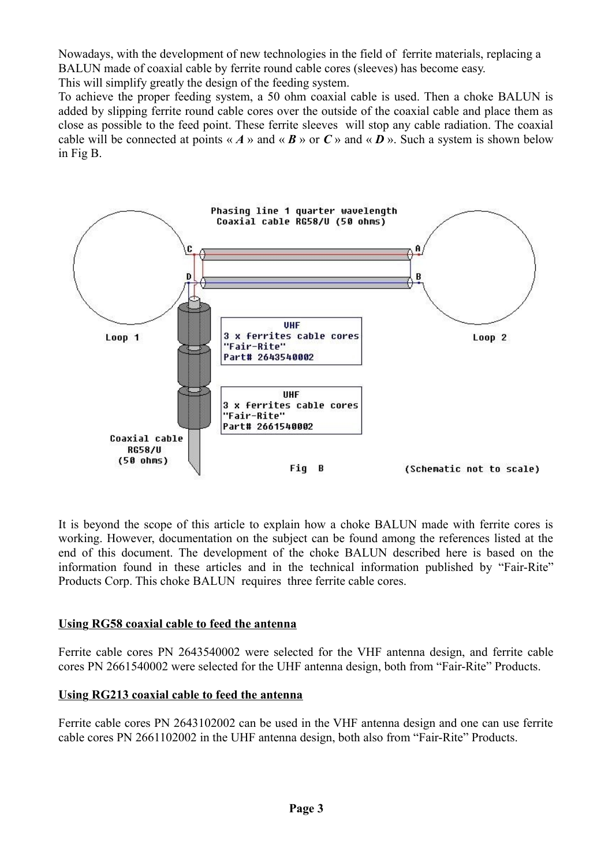Nowadays, with the development of new technologies in the field of ferrite materials, replacing a BALUN made of coaxial cable by ferrite round cable cores (sleeves) has become easy. This will simplify greatly the design of the feeding system.

To achieve the proper feeding system, a 50 ohm coaxial cable is used. Then a choke BALUN is added by slipping ferrite round cable cores over the outside of the coaxial cable and place them as close as possible to the feed point. These ferrite sleeves will stop any cable radiation. The coaxial cable will be connected at points « *A* » and « *B* » or  $C$  » and « *D* ». Such a system is shown below in Fig B.



It is beyond the scope of this article to explain how a choke BALUN made with ferrite cores is working. However, documentation on the subject can be found among the references listed at the end of this document. The development of the choke BALUN described here is based on the information found in these articles and in the technical information published by "Fair-Rite" Products Corp. This choke BALUN requires three ferrite cable cores.

#### **Using RG58 coaxial cable to feed the antenna**

Ferrite cable cores PN 2643540002 were selected for the VHF antenna design, and ferrite cable cores PN 2661540002 were selected for the UHF antenna design, both from "Fair-Rite" Products.

#### **Using RG213 coaxial cable to feed the antenna**

Ferrite cable cores PN 2643102002 can be used in the VHF antenna design and one can use ferrite cable cores PN 2661102002 in the UHF antenna design, both also from "Fair-Rite" Products.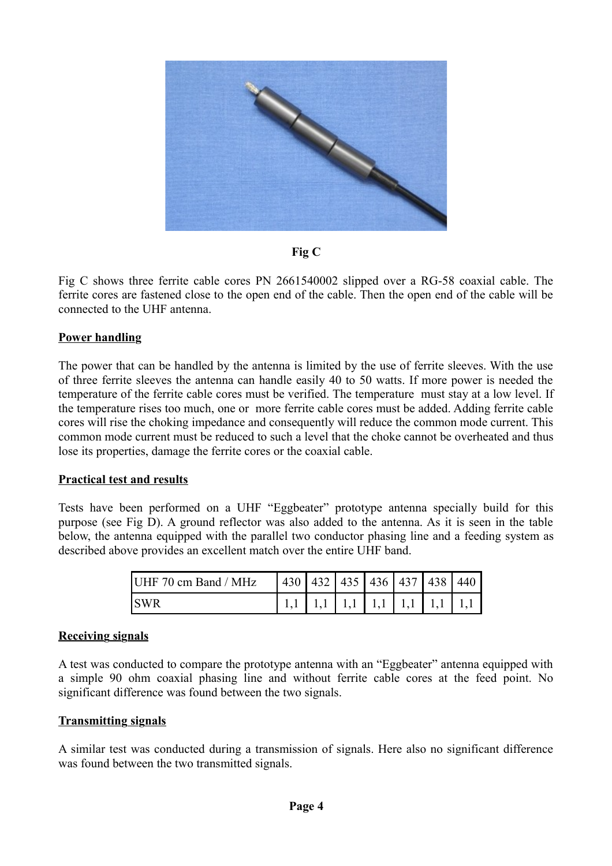

**Fig C**

Fig C shows three ferrite cable cores PN 2661540002 slipped over a RG-58 coaxial cable. The ferrite cores are fastened close to the open end of the cable. Then the open end of the cable will be connected to the UHF antenna.

#### **Power handling**

The power that can be handled by the antenna is limited by the use of ferrite sleeves. With the use of three ferrite sleeves the antenna can handle easily 40 to 50 watts. If more power is needed the temperature of the ferrite cable cores must be verified. The temperature must stay at a low level. If the temperature rises too much, one or more ferrite cable cores must be added. Adding ferrite cable cores will rise the choking impedance and consequently will reduce the common mode current. This common mode current must be reduced to such a level that the choke cannot be overheated and thus lose its properties, damage the ferrite cores or the coaxial cable.

#### **Practical test and results**

Tests have been performed on a UHF "Eggbeater" prototype antenna specially build for this purpose (see Fig D). A ground reflector was also added to the antenna. As it is seen in the table below, the antenna equipped with the parallel two conductor phasing line and a feeding system as described above provides an excellent match over the entire UHF band.

| UHF 70 cm Band / MHz |  |  |  | $\vert$ 430   432   435   436   437   438   440 |
|----------------------|--|--|--|-------------------------------------------------|
| <b>SWR</b>           |  |  |  |                                                 |

#### **Receiving signals**

A test was conducted to compare the prototype antenna with an "Eggbeater" antenna equipped with a simple 90 ohm coaxial phasing line and without ferrite cable cores at the feed point. No significant difference was found between the two signals.

#### **Transmitting signals**

A similar test was conducted during a transmission of signals. Here also no significant difference was found between the two transmitted signals.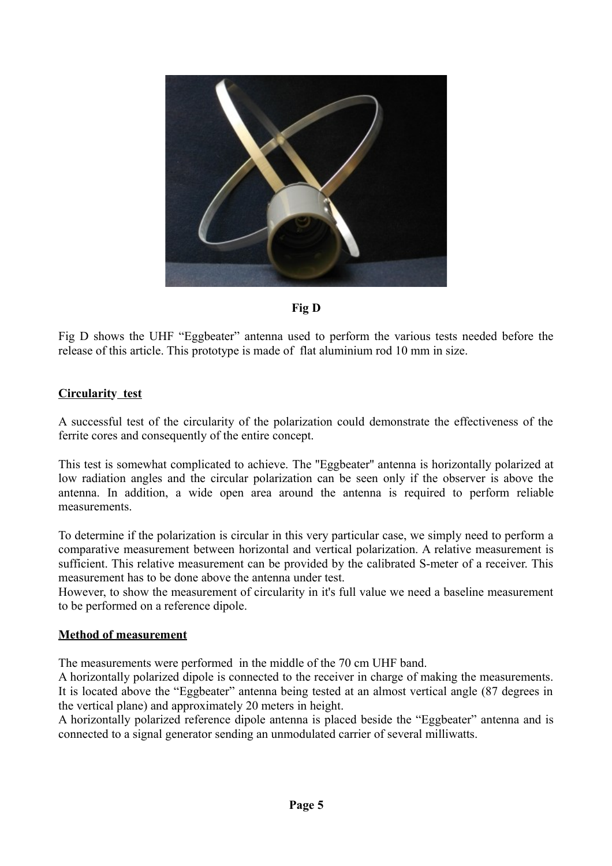

**Fig D**

Fig D shows the UHF "Eggbeater" antenna used to perform the various tests needed before the release of this article. This prototype is made of flat aluminium rod 10 mm in size.

#### **Circularity test**

A successful test of the circularity of the polarization could demonstrate the effectiveness of the ferrite cores and consequently of the entire concept.

This test is somewhat complicated to achieve. The ''Eggbeater'' antenna is horizontally polarized at low radiation angles and the circular polarization can be seen only if the observer is above the antenna. In addition, a wide open area around the antenna is required to perform reliable measurements.

To determine if the polarization is circular in this very particular case, we simply need to perform a comparative measurement between horizontal and vertical polarization. A relative measurement is sufficient. This relative measurement can be provided by the calibrated S-meter of a receiver. This measurement has to be done above the antenna under test.

However, to show the measurement of circularity in it's full value we need a baseline measurement to be performed on a reference dipole.

#### **Method of measurement**

The measurements were performed in the middle of the 70 cm UHF band.

A horizontally polarized dipole is connected to the receiver in charge of making the measurements. It is located above the "Eggbeater" antenna being tested at an almost vertical angle (87 degrees in the vertical plane) and approximately 20 meters in height.

A horizontally polarized reference dipole antenna is placed beside the "Eggbeater" antenna and is connected to a signal generator sending an unmodulated carrier of several milliwatts.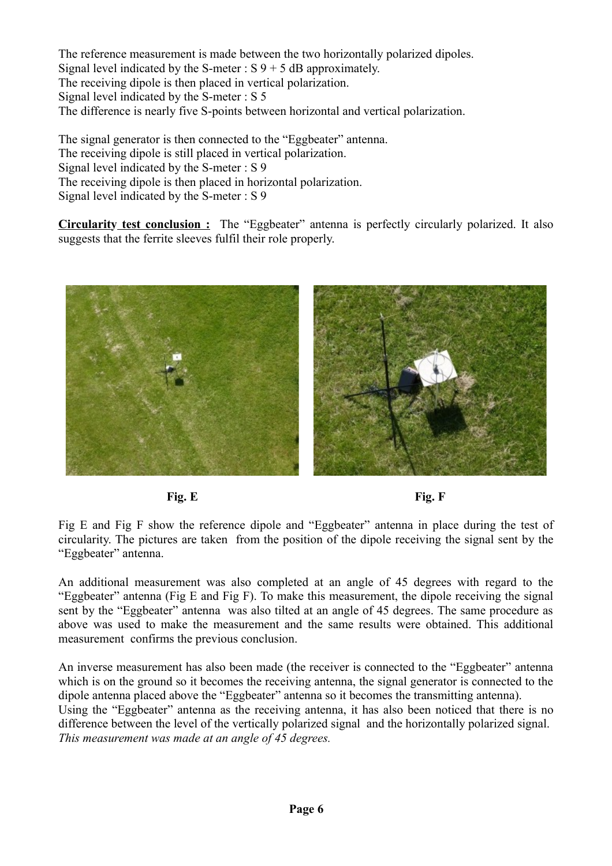The reference measurement is made between the two horizontally polarized dipoles. Signal level indicated by the S-meter :  $S$  9 + 5 dB approximately. The receiving dipole is then placed in vertical polarization. Signal level indicated by the S-meter : S 5 The difference is nearly five S-points between horizontal and vertical polarization.

The signal generator is then connected to the "Eggbeater" antenna. The receiving dipole is still placed in vertical polarization. Signal level indicated by the S-meter : S 9 The receiving dipole is then placed in horizontal polarization. Signal level indicated by the S-meter : S 9

**Circularity test conclusion :** The "Eggbeater" antenna is perfectly circularly polarized. It also suggests that the ferrite sleeves fulfil their role properly.



**Fig. E Fig. F** 

Fig E and Fig F show the reference dipole and "Eggbeater" antenna in place during the test of circularity. The pictures are taken from the position of the dipole receiving the signal sent by the "Eggbeater" antenna.

An additional measurement was also completed at an angle of 45 degrees with regard to the "Eggbeater" antenna (Fig E and Fig F). To make this measurement, the dipole receiving the signal sent by the "Eggbeater" antenna was also tilted at an angle of 45 degrees. The same procedure as above was used to make the measurement and the same results were obtained. This additional measurement confirms the previous conclusion.

An inverse measurement has also been made (the receiver is connected to the "Eggbeater" antenna which is on the ground so it becomes the receiving antenna, the signal generator is connected to the dipole antenna placed above the "Eggbeater" antenna so it becomes the transmitting antenna). Using the "Eggbeater" antenna as the receiving antenna, it has also been noticed that there is no difference between the level of the vertically polarized signal and the horizontally polarized signal. *This measurement was made at an angle of 45 degrees.*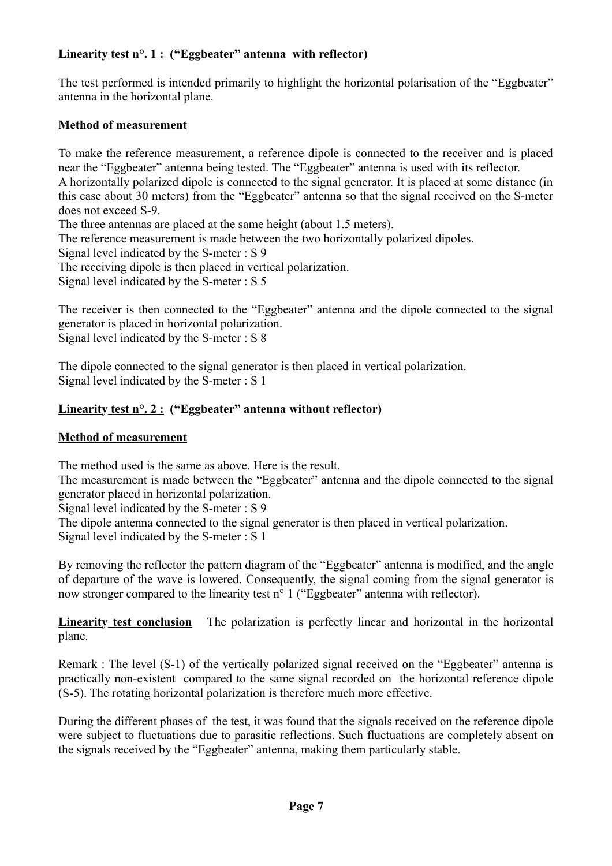#### **Linearity test n°. 1 : ("Eggbeater" antenna with reflector)**

The test performed is intended primarily to highlight the horizontal polarisation of the "Eggbeater" antenna in the horizontal plane.

#### **Method of measurement**

To make the reference measurement, a reference dipole is connected to the receiver and is placed near the "Eggbeater" antenna being tested. The "Eggbeater" antenna is used with its reflector. A horizontally polarized dipole is connected to the signal generator. It is placed at some distance (in this case about 30 meters) from the "Eggbeater" antenna so that the signal received on the S-meter does not exceed S-9. The three antennas are placed at the same height (about 1.5 meters). The reference measurement is made between the two horizontally polarized dipoles. Signal level indicated by the S-meter : S 9 The receiving dipole is then placed in vertical polarization. Signal level indicated by the S-meter : S 5

The receiver is then connected to the "Eggbeater" antenna and the dipole connected to the signal generator is placed in horizontal polarization. Signal level indicated by the S-meter : S 8

The dipole connected to the signal generator is then placed in vertical polarization. Signal level indicated by the S-meter : S 1

#### **Linearity test n°. 2 : ("Eggbeater" antenna without reflector)**

#### **Method of measurement**

The method used is the same as above. Here is the result.

The measurement is made between the "Eggbeater" antenna and the dipole connected to the signal generator placed in horizontal polarization.

Signal level indicated by the S-meter : S 9

The dipole antenna connected to the signal generator is then placed in vertical polarization. Signal level indicated by the S-meter : S 1

By removing the reflector the pattern diagram of the "Eggbeater" antenna is modified, and the angle of departure of the wave is lowered. Consequently, the signal coming from the signal generator is now stronger compared to the linearity test n<sup>o</sup> 1 ("Eggbeater" antenna with reflector).

**Linearity test conclusion** The polarization is perfectly linear and horizontal in the horizontal plane.

Remark : The level (S-1) of the vertically polarized signal received on the "Eggbeater" antenna is practically non-existent compared to the same signal recorded on the horizontal reference dipole (S-5). The rotating horizontal polarization is therefore much more effective.

During the different phases of the test, it was found that the signals received on the reference dipole were subject to fluctuations due to parasitic reflections. Such fluctuations are completely absent on the signals received by the "Eggbeater" antenna, making them particularly stable.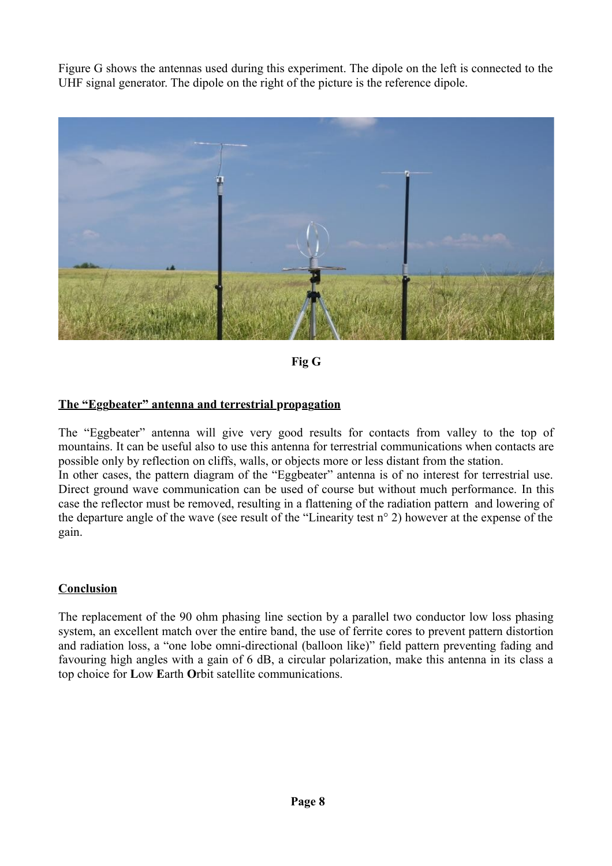Figure G shows the antennas used during this experiment. The dipole on the left is connected to the UHF signal generator. The dipole on the right of the picture is the reference dipole.



**Fig G**

#### **The "Eggbeater" antenna and terrestrial propagation**

The "Eggbeater" antenna will give very good results for contacts from valley to the top of mountains. It can be useful also to use this antenna for terrestrial communications when contacts are possible only by reflection on cliffs, walls, or objects more or less distant from the station. In other cases, the pattern diagram of the "Eggbeater" antenna is of no interest for terrestrial use. Direct ground wave communication can be used of course but without much performance. In this case the reflector must be removed, resulting in a flattening of the radiation pattern and lowering of the departure angle of the wave (see result of the "Linearity test n° 2) however at the expense of the gain.

#### **Conclusion**

The replacement of the 90 ohm phasing line section by a parallel two conductor low loss phasing system, an excellent match over the entire band, the use of ferrite cores to prevent pattern distortion and radiation loss, a "one lobe omni-directional (balloon like)" field pattern preventing fading and favouring high angles with a gain of 6 dB, a circular polarization, make this antenna in its class a top choice for **L**ow **E**arth **O**rbit satellite communications.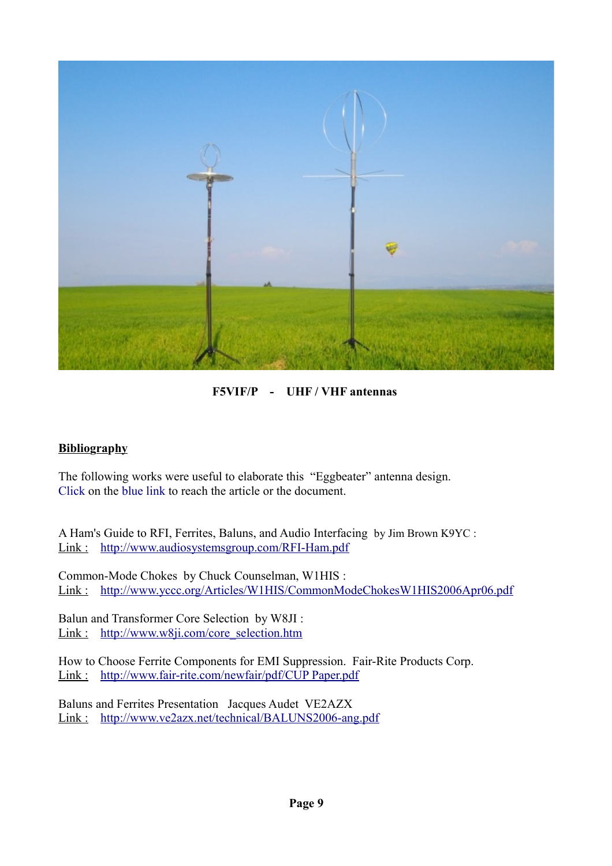

**F5VIF/P - UHF / VHF antennas**

#### **Bibliography**

The following works were useful to elaborate this "Eggbeater" antenna design. Click on the blue link to reach the article or the document.

A Ham's Guide to RFI, Ferrites, Baluns, and Audio Interfacing by Jim Brown K9YC : Link : <http://www.audiosystemsgroup.com/RFI-Ham.pdf>

Common-Mode Chokes by Chuck Counselman, W1HIS : Link : <http://www.yccc.org/Articles/W1HIS/CommonModeChokesW1HIS2006Apr06.pdf>

Balun and Transformer Core Selection by W8JI : Link : [http://www.w8ji.com/core\\_selection.htm](http://www.w8ji.com/core_selection.htm)

How to Choose Ferrite Components for EMI Suppression. Fair-Rite Products Corp. Link : [http://www.fair-rite.com/newfair/pdf/CUP Paper.pdf](http://www.fair-rite.com/newfair/pdf/CUP%20Paper.pdf)

Baluns and Ferrites Presentation Jacques Audet VE2AZX Link : <http://www.ve2azx.net/technical/BALUNS2006-ang.pdf>